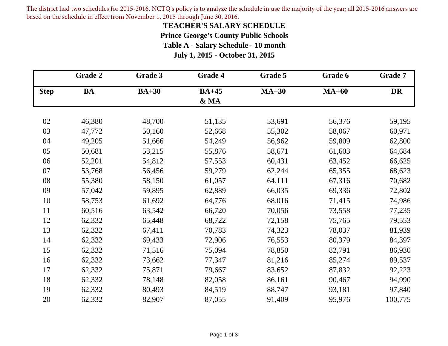The district had two schedules for 2015-2016. NCTQ's policy is to analyze the schedule in use the majority of the year; all 2015-2016 answers are based on the schedule in effect from November 1, 2015 through June 30, 2016.

#### **TEACHER'S SALARY SCHEDULE**

**Prince George's County Public Schools**

**Table A - Salary Schedule - 10 month**

**July 1, 2015 - October 31, 2015**

|             | Grade 2   | Grade 3 | Grade 4      | Grade 5 | Grade 6 | <b>Grade 7</b> |
|-------------|-----------|---------|--------------|---------|---------|----------------|
| <b>Step</b> | <b>BA</b> | $BA+30$ | <b>BA+45</b> | $MA+30$ | $MA+60$ | <b>DR</b>      |
|             |           |         | & MA         |         |         |                |
|             |           |         |              |         |         |                |
| 02          | 46,380    | 48,700  | 51,135       | 53,691  | 56,376  | 59,195         |
| 03          | 47,772    | 50,160  | 52,668       | 55,302  | 58,067  | 60,971         |
| 04          | 49,205    | 51,666  | 54,249       | 56,962  | 59,809  | 62,800         |
| 05          | 50,681    | 53,215  | 55,876       | 58,671  | 61,603  | 64,684         |
| 06          | 52,201    | 54,812  | 57,553       | 60,431  | 63,452  | 66,625         |
| 07          | 53,768    | 56,456  | 59,279       | 62,244  | 65,355  | 68,623         |
| 08          | 55,380    | 58,150  | 61,057       | 64,111  | 67,316  | 70,682         |
| 09          | 57,042    | 59,895  | 62,889       | 66,035  | 69,336  | 72,802         |
| 10          | 58,753    | 61,692  | 64,776       | 68,016  | 71,415  | 74,986         |
| 11          | 60,516    | 63,542  | 66,720       | 70,056  | 73,558  | 77,235         |
| 12          | 62,332    | 65,448  | 68,722       | 72,158  | 75,765  | 79,553         |
| 13          | 62,332    | 67,411  | 70,783       | 74,323  | 78,037  | 81,939         |
| 14          | 62,332    | 69,433  | 72,906       | 76,553  | 80,379  | 84,397         |
| 15          | 62,332    | 71,516  | 75,094       | 78,850  | 82,791  | 86,930         |
| 16          | 62,332    | 73,662  | 77,347       | 81,216  | 85,274  | 89,537         |
| 17          | 62,332    | 75,871  | 79,667       | 83,652  | 87,832  | 92,223         |
| 18          | 62,332    | 78,148  | 82,058       | 86,161  | 90,467  | 94,990         |
| 19          | 62,332    | 80,493  | 84,519       | 88,747  | 93,181  | 97,840         |
| 20          | 62,332    | 82,907  | 87,055       | 91,409  | 95,976  | 100,775        |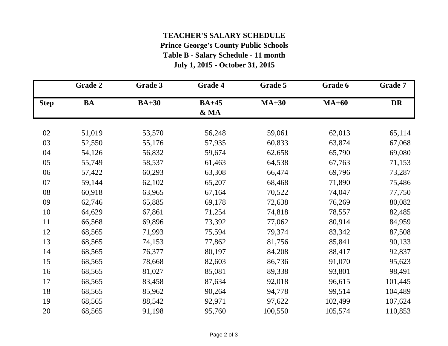### **Prince George's County Public Schools Table B - Salary Schedule - 11 month TEACHER'S SALARY SCHEDULE**

**July 1, 2015 - October 31, 2015**

|             | Grade 2   | Grade 3 | Grade 4         | Grade 5 | Grade 6 | Grade 7   |
|-------------|-----------|---------|-----------------|---------|---------|-----------|
| <b>Step</b> | <b>BA</b> | $BA+30$ | $BA+45$<br>& MA | $MA+30$ | $MA+60$ | <b>DR</b> |
| 02          | 51,019    | 53,570  | 56,248          | 59,061  | 62,013  | 65,114    |
| 03          | 52,550    | 55,176  | 57,935          | 60,833  | 63,874  | 67,068    |
| 04          | 54,126    | 56,832  | 59,674          | 62,658  | 65,790  | 69,080    |
| 05          | 55,749    | 58,537  | 61,463          | 64,538  | 67,763  | 71,153    |
| 06          | 57,422    | 60,293  | 63,308          | 66,474  | 69,796  | 73,287    |
| 07          | 59,144    | 62,102  | 65,207          | 68,468  | 71,890  | 75,486    |
| 08          | 60,918    | 63,965  | 67,164          | 70,522  | 74,047  | 77,750    |
| 09          | 62,746    | 65,885  | 69,178          | 72,638  | 76,269  | 80,082    |
| 10          | 64,629    | 67,861  | 71,254          | 74,818  | 78,557  | 82,485    |
| 11          | 66,568    | 69,896  | 73,392          | 77,062  | 80,914  | 84,959    |
| 12          | 68,565    | 71,993  | 75,594          | 79,374  | 83,342  | 87,508    |
| 13          | 68,565    | 74,153  | 77,862          | 81,756  | 85,841  | 90,133    |
| 14          | 68,565    | 76,377  | 80,197          | 84,208  | 88,417  | 92,837    |
| 15          | 68,565    | 78,668  | 82,603          | 86,736  | 91,070  | 95,623    |
| 16          | 68,565    | 81,027  | 85,081          | 89,338  | 93,801  | 98,491    |
| 17          | 68,565    | 83,458  | 87,634          | 92,018  | 96,615  | 101,445   |
| 18          | 68,565    | 85,962  | 90,264          | 94,778  | 99,514  | 104,489   |
| 19          | 68,565    | 88,542  | 92,971          | 97,622  | 102,499 | 107,624   |
| 20          | 68,565    | 91,198  | 95,760          | 100,550 | 105,574 | 110,853   |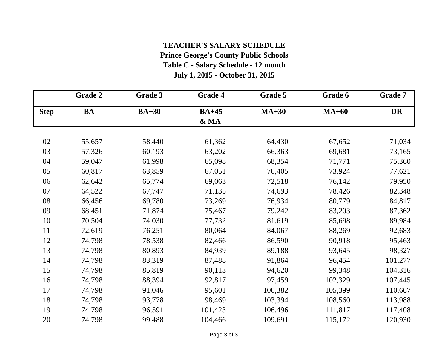### **Table C - Salary Schedule - 12 month July 1, 2015 - October 31, 2015 TEACHER'S SALARY SCHEDULE Prince George's County Public Schools**

|             | <b>Grade 2</b> | Grade 3 | Grade 4         | Grade 5 | Grade 6 | Grade 7 |
|-------------|----------------|---------|-----------------|---------|---------|---------|
| <b>Step</b> | <b>BA</b>      | $BA+30$ | $BA+45$<br>& MA | $MA+30$ | $MA+60$ | DR      |
| 02          | 55,657         | 58,440  | 61,362          | 64,430  | 67,652  | 71,034  |
| 03          | 57,326         | 60,193  | 63,202          | 66,363  | 69,681  | 73,165  |
| 04          | 59,047         | 61,998  | 65,098          | 68,354  | 71,771  | 75,360  |
| 05          | 60,817         | 63,859  | 67,051          | 70,405  | 73,924  | 77,621  |
| 06          | 62,642         | 65,774  | 69,063          | 72,518  | 76,142  | 79,950  |
| 07          | 64,522         | 67,747  | 71,135          | 74,693  | 78,426  | 82,348  |
| 08          | 66,456         | 69,780  | 73,269          | 76,934  | 80,779  | 84,817  |
| 09          | 68,451         | 71,874  | 75,467          | 79,242  | 83,203  | 87,362  |
| 10          | 70,504         | 74,030  | 77,732          | 81,619  | 85,698  | 89,984  |
| 11          | 72,619         | 76,251  | 80,064          | 84,067  | 88,269  | 92,683  |
| 12          | 74,798         | 78,538  | 82,466          | 86,590  | 90,918  | 95,463  |
| 13          | 74,798         | 80,893  | 84,939          | 89,188  | 93,645  | 98,327  |
| 14          | 74,798         | 83,319  | 87,488          | 91,864  | 96,454  | 101,277 |
| 15          | 74,798         | 85,819  | 90,113          | 94,620  | 99,348  | 104,316 |
| 16          | 74,798         | 88,394  | 92,817          | 97,459  | 102,329 | 107,445 |
| 17          | 74,798         | 91,046  | 95,601          | 100,382 | 105,399 | 110,667 |
| 18          | 74,798         | 93,778  | 98,469          | 103,394 | 108,560 | 113,988 |
| 19          | 74,798         | 96,591  | 101,423         | 106,496 | 111,817 | 117,408 |
| 20          | 74,798         | 99,488  | 104,466         | 109,691 | 115,172 | 120,930 |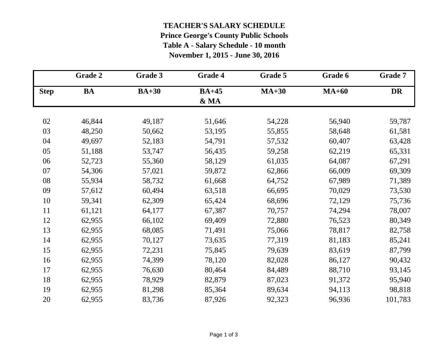### **TEACHER'S SALARY SCHEDULE Prince George's County Public Schools**

**Table A - Salary Schedule - 10 month**

**November 1, 2015 - June 30, 2016**

|             | Grade 2   | Grade 3 | Grade 4 | Grade 5 | Grade 6 | <b>Grade 7</b> |
|-------------|-----------|---------|---------|---------|---------|----------------|
| <b>Step</b> | <b>BA</b> | $BA+30$ | $BA+45$ | $MA+30$ | $MA+60$ | DR             |
|             |           |         | & MA    |         |         |                |
| 02          | 46,844    | 49,187  | 51,646  | 54,228  | 56,940  | 59,787         |
| 03          | 48,250    | 50,662  | 53,195  | 55,855  | 58,648  | 61,581         |
| 04          | 49,697    | 52,183  | 54,791  | 57,532  | 60,407  | 63,428         |
| 05          | 51,188    | 53,747  | 56,435  | 59,258  | 62,219  | 65,331         |
| 06          | 52,723    | 55,360  | 58,129  | 61,035  | 64,087  | 67,291         |
| 07          | 54,306    | 57,021  | 59,872  | 62,866  | 66,009  | 69,309         |
| 08          | 55,934    | 58,732  | 61,668  | 64,752  | 67,989  | 71,389         |
| 09          | 57,612    | 60,494  | 63,518  | 66,695  | 70,029  | 73,530         |
| 10          | 59,341    | 62,309  | 65,424  | 68,696  | 72,129  | 75,736         |
| 11          | 61,121    | 64,177  | 67,387  | 70,757  | 74,294  | 78,007         |
| 12          | 62,955    | 66,102  | 69,409  | 72,880  | 76,523  | 80,349         |
| 13          | 62,955    | 68,085  | 71,491  | 75,066  | 78,817  | 82,758         |
| 14          | 62,955    | 70,127  | 73,635  | 77,319  | 81,183  | 85,241         |
| 15          | 62,955    | 72,231  | 75,845  | 79,639  | 83,619  | 87,799         |
| 16          | 62,955    | 74,399  | 78,120  | 82,028  | 86,127  | 90,432         |
| 17          | 62,955    | 76,630  | 80,464  | 84,489  | 88,710  | 93,145         |
| 18          | 62,955    | 78,929  | 82,879  | 87,023  | 91,372  | 95,940         |
| 19          | 62,955    | 81,298  | 85,364  | 89,634  | 94,113  | 98,818         |
| 20          | 62,955    | 83,736  | 87,926  | 92,323  | 96,936  | 101,783        |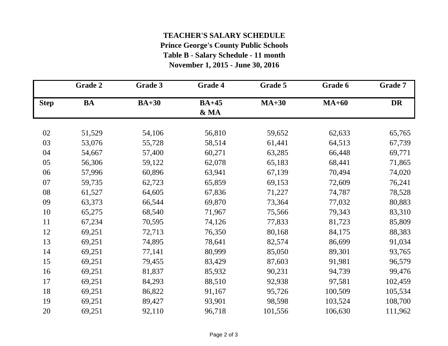# **Prince George's County Public Schools TEACHER'S SALARY SCHEDULE**

**Table B - Salary Schedule - 11 month**

**November 1, 2015 - June 30, 2016**

|             | <b>Grade 2</b> | Grade 3 | Grade 4         | Grade 5 | Grade 6 | Grade 7 |
|-------------|----------------|---------|-----------------|---------|---------|---------|
| <b>Step</b> | <b>BA</b>      | $BA+30$ | $BA+45$<br>& MA | $MA+30$ | $MA+60$ | DR      |
| 02          | 51,529         | 54,106  | 56,810          | 59,652  | 62,633  | 65,765  |
| 03          | 53,076         | 55,728  | 58,514          | 61,441  | 64,513  | 67,739  |
| 04          | 54,667         | 57,400  | 60,271          | 63,285  | 66,448  | 69,771  |
| 05          | 56,306         | 59,122  | 62,078          | 65,183  | 68,441  | 71,865  |
| 06          | 57,996         | 60,896  | 63,941          | 67,139  | 70,494  | 74,020  |
| 07          | 59,735         | 62,723  | 65,859          | 69,153  | 72,609  | 76,241  |
| 08          | 61,527         | 64,605  | 67,836          | 71,227  | 74,787  | 78,528  |
| 09          | 63,373         | 66,544  | 69,870          | 73,364  | 77,032  | 80,883  |
| 10          | 65,275         | 68,540  | 71,967          | 75,566  | 79,343  | 83,310  |
| 11          | 67,234         | 70,595  | 74,126          | 77,833  | 81,723  | 85,809  |
| 12          | 69,251         | 72,713  | 76,350          | 80,168  | 84,175  | 88,383  |
| 13          | 69,251         | 74,895  | 78,641          | 82,574  | 86,699  | 91,034  |
| 14          | 69,251         | 77,141  | 80,999          | 85,050  | 89,301  | 93,765  |
| 15          | 69,251         | 79,455  | 83,429          | 87,603  | 91,981  | 96,579  |
| 16          | 69,251         | 81,837  | 85,932          | 90,231  | 94,739  | 99,476  |
| 17          | 69,251         | 84,293  | 88,510          | 92,938  | 97,581  | 102,459 |
| 18          | 69,251         | 86,822  | 91,167          | 95,726  | 100,509 | 105,534 |
| 19          | 69,251         | 89,427  | 93,901          | 98,598  | 103,524 | 108,700 |
| 20          | 69,251         | 92,110  | 96,718          | 101,556 | 106,630 | 111,962 |